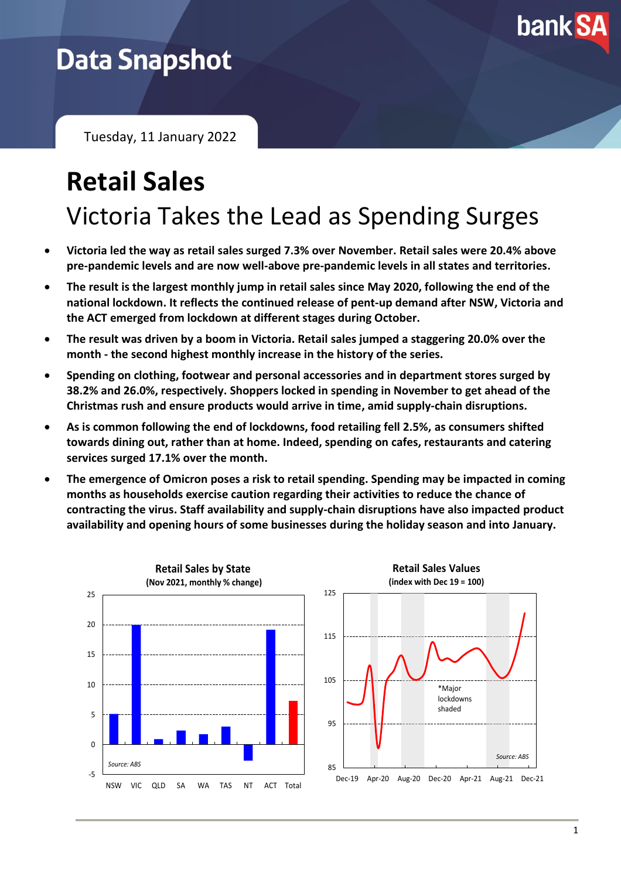

## **Data Snapshot**

Tuesday, 11 January 2022

# **Retail Sales** Victoria Takes the Lead as Spending Surges

- **Victoria led the way as retail sales surged 7.3% over November. Retail sales were 20.4% above pre-pandemic levels and are now well-above pre-pandemic levels in all states and territories.**
- **The result is the largest monthly jump in retail sales since May 2020, following the end of the national lockdown. It reflects the continued release of pent-up demand after NSW, Victoria and the ACT emerged from lockdown at different stages during October.**
- **The result was driven by a boom in Victoria. Retail sales jumped a staggering 20.0% over the month - the second highest monthly increase in the history of the series.**
- **Spending on clothing, footwear and personal accessories and in department stores surged by 38.2% and 26.0%, respectively. Shoppers locked in spending in November to get ahead of the Christmas rush and ensure products would arrive in time, amid supply-chain disruptions.**
- **As is common following the end of lockdowns, food retailing fell 2.5%, as consumers shifted towards dining out, rather than at home. Indeed, spending on cafes, restaurants and catering services surged 17.1% over the month.**
- **The emergence of Omicron poses a risk to retail spending. Spending may be impacted in coming months as households exercise caution regarding their activities to reduce the chance of contracting the virus. Staff availability and supply-chain disruptions have also impacted product availability and opening hours of some businesses during the holiday season and into January.**

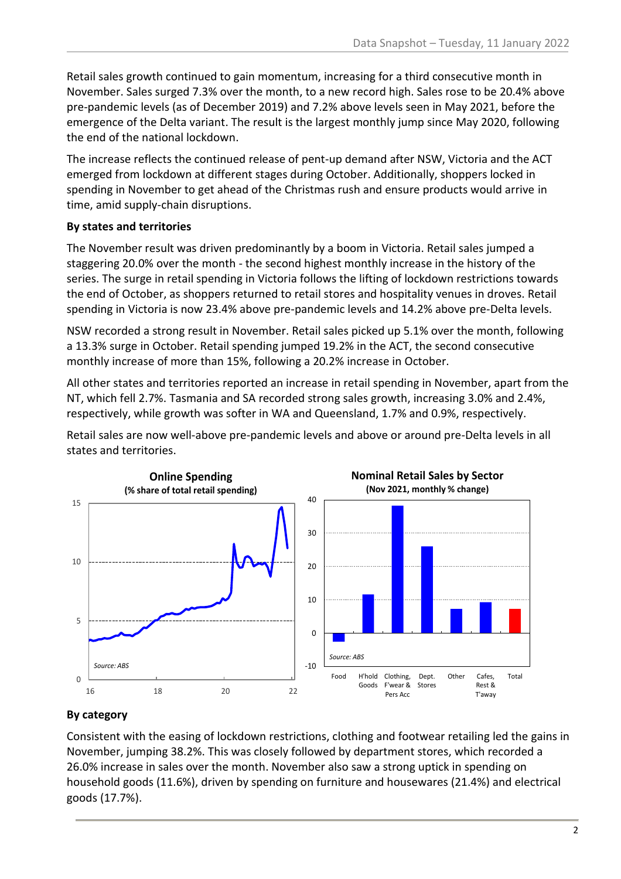Retail sales growth continued to gain momentum, increasing for a third consecutive month in November. Sales surged 7.3% over the month, to a new record high. Sales rose to be 20.4% above pre-pandemic levels (as of December 2019) and 7.2% above levels seen in May 2021, before the emergence of the Delta variant. The result is the largest monthly jump since May 2020, following the end of the national lockdown.

The increase reflects the continued release of pent-up demand after NSW, Victoria and the ACT emerged from lockdown at different stages during October. Additionally, shoppers locked in spending in November to get ahead of the Christmas rush and ensure products would arrive in time, amid supply-chain disruptions.

### **By states and territories**

The November result was driven predominantly by a boom in Victoria. Retail sales jumped a staggering 20.0% over the month - the second highest monthly increase in the history of the series. The surge in retail spending in Victoria follows the lifting of lockdown restrictions towards the end of October, as shoppers returned to retail stores and hospitality venues in droves. Retail spending in Victoria is now 23.4% above pre-pandemic levels and 14.2% above pre-Delta levels.

NSW recorded a strong result in November. Retail sales picked up 5.1% over the month, following a 13.3% surge in October. Retail spending jumped 19.2% in the ACT, the second consecutive monthly increase of more than 15%, following a 20.2% increase in October.

All other states and territories reported an increase in retail spending in November, apart from the NT, which fell 2.7%. Tasmania and SA recorded strong sales growth, increasing 3.0% and 2.4%, respectively, while growth was softer in WA and Queensland, 1.7% and 0.9%, respectively.

Retail sales are now well-above pre-pandemic levels and above or around pre-Delta levels in all states and territories.



### **By category**

Consistent with the easing of lockdown restrictions, clothing and footwear retailing led the gains in November, jumping 38.2%. This was closely followed by department stores, which recorded a 26.0% increase in sales over the month. November also saw a strong uptick in spending on household goods (11.6%), driven by spending on furniture and housewares (21.4%) and electrical goods (17.7%).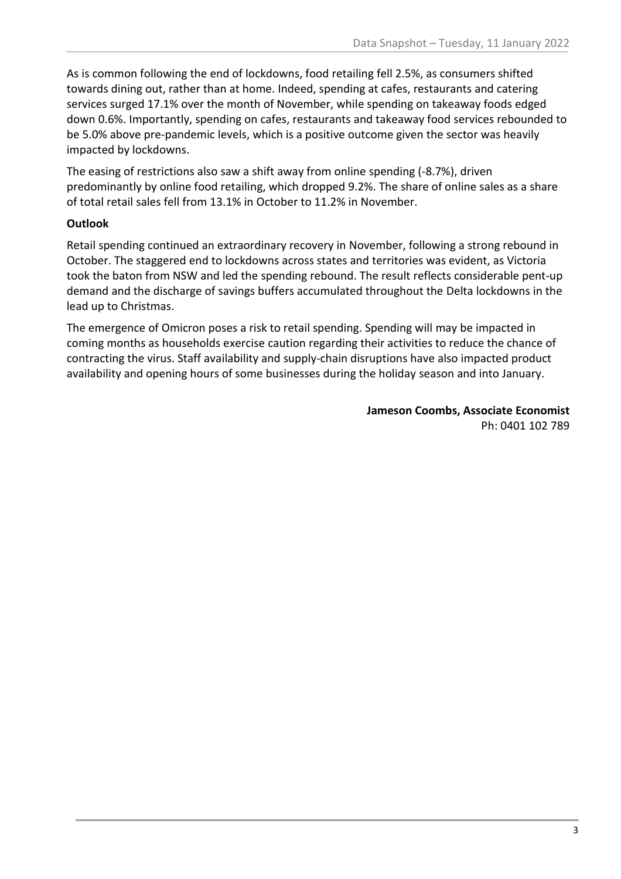As is common following the end of lockdowns, food retailing fell 2.5%, as consumers shifted towards dining out, rather than at home. Indeed, spending at cafes, restaurants and catering services surged 17.1% over the month of November, while spending on takeaway foods edged down 0.6%. Importantly, spending on cafes, restaurants and takeaway food services rebounded to be 5.0% above pre-pandemic levels, which is a positive outcome given the sector was heavily impacted by lockdowns.

The easing of restrictions also saw a shift away from online spending (-8.7%), driven predominantly by online food retailing, which dropped 9.2%. The share of online sales as a share of total retail sales fell from 13.1% in October to 11.2% in November.

### **Outlook**

Retail spending continued an extraordinary recovery in November, following a strong rebound in October. The staggered end to lockdowns across states and territories was evident, as Victoria took the baton from NSW and led the spending rebound. The result reflects considerable pent-up demand and the discharge of savings buffers accumulated throughout the Delta lockdowns in the lead up to Christmas.

The emergence of Omicron poses a risk to retail spending. Spending will may be impacted in coming months as households exercise caution regarding their activities to reduce the chance of contracting the virus. Staff availability and supply-chain disruptions have also impacted product availability and opening hours of some businesses during the holiday season and into January.

> **Jameson Coombs, Associate Economist** Ph: 0401 102 789